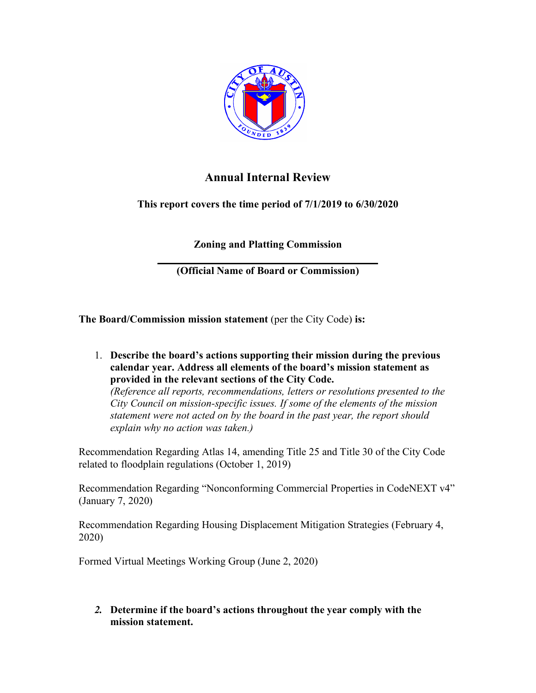

## **Annual Internal Review**

**This report covers the time period of 7/1/2019 to 6/30/2020**

**Zoning and Platting Commission**

**\_\_\_\_\_\_\_\_\_\_\_\_\_\_\_\_\_\_\_\_\_\_\_\_\_\_\_\_\_\_\_\_\_\_\_\_ (Official Name of Board or Commission)**

**The Board/Commission mission statement** (per the City Code) **is:**

1. **Describe the board's actions supporting their mission during the previous calendar year. Address all elements of the board's mission statement as provided in the relevant sections of the City Code.** 

*(Reference all reports, recommendations, letters or resolutions presented to the City Council on mission-specific issues. If some of the elements of the mission statement were not acted on by the board in the past year, the report should explain why no action was taken.)*

Recommendation Regarding Atlas 14, amending Title 25 and Title 30 of the City Code related to floodplain regulations (October 1, 2019)

Recommendation Regarding "Nonconforming Commercial Properties in CodeNEXT v4" (January 7, 2020)

Recommendation Regarding Housing Displacement Mitigation Strategies (February 4, 2020)

Formed Virtual Meetings Working Group (June 2, 2020)

*2.* **Determine if the board's actions throughout the year comply with the mission statement.**